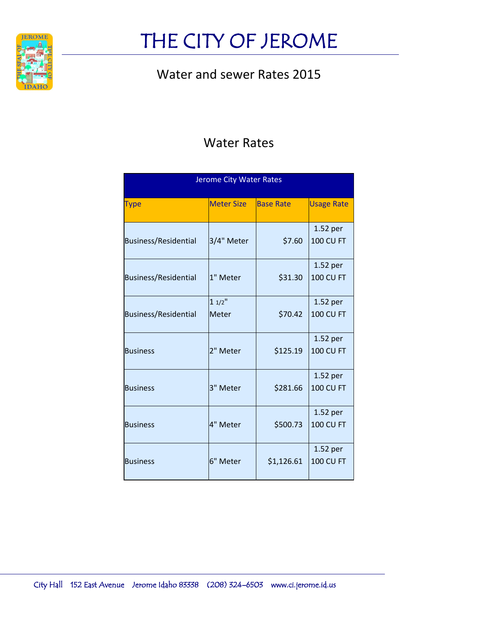

### Water and sewer Rates 2015

### Water Rates

| <b>Jerome City Water Rates</b> |                          |                  |                              |
|--------------------------------|--------------------------|------------------|------------------------------|
| Type                           | <b>Meter Size</b>        | <b>Base Rate</b> | <b>Usage Rate</b>            |
| <b>Business/Residential</b>    | 3/4" Meter               | \$7.60           | 1.52 per<br><b>100 CU FT</b> |
| <b>Business/Residential</b>    | 1" Meter                 | \$31.30          | 1.52 per<br><b>100 CU FT</b> |
| <b>Business/Residential</b>    | $11/2$ "<br><b>Meter</b> | \$70.42          | 1.52 per<br><b>100 CU FT</b> |
| <b>Business</b>                | 2" Meter                 | \$125.19         | 1.52 per<br><b>100 CU FT</b> |
| <b>Business</b>                | 3" Meter                 | \$281.66         | 1.52 per<br><b>100 CU FT</b> |
| <b>Business</b>                | 4" Meter                 | \$500.73         | 1.52 per<br><b>100 CU FT</b> |
| <b>Business</b>                | 6" Meter                 | \$1,126.61       | 1.52 per<br><b>100 CU FT</b> |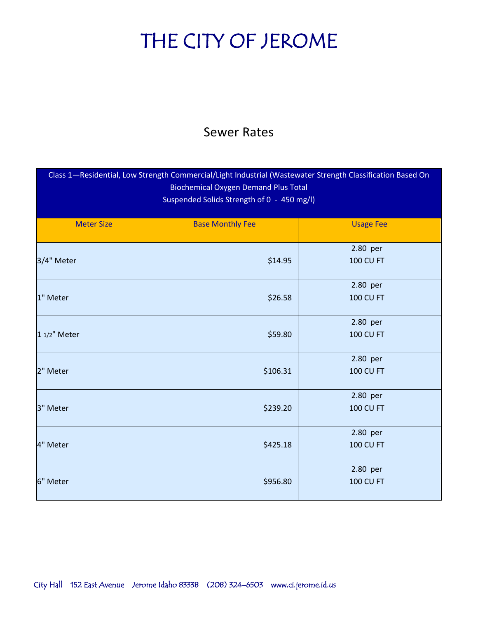#### Sewer Rates

| Class 1-Residential, Low Strength Commercial/Light Industrial (Wastewater Strength Classification Based On<br><b>Biochemical Oxygen Demand Plus Total</b><br>Suspended Solids Strength of 0 - 450 mg/l) |                         |                              |
|---------------------------------------------------------------------------------------------------------------------------------------------------------------------------------------------------------|-------------------------|------------------------------|
| <b>Meter Size</b>                                                                                                                                                                                       | <b>Base Monthly Fee</b> | <b>Usage Fee</b>             |
| 3/4" Meter                                                                                                                                                                                              | \$14.95                 | 2.80 per<br><b>100 CU FT</b> |
| 1" Meter                                                                                                                                                                                                | \$26.58                 | 2.80 per<br><b>100 CU FT</b> |
| 1 1/2" Meter                                                                                                                                                                                            | \$59.80                 | 2.80 per<br><b>100 CU FT</b> |
| 2" Meter                                                                                                                                                                                                | \$106.31                | 2.80 per<br><b>100 CU FT</b> |
| 3" Meter                                                                                                                                                                                                | \$239.20                | 2.80 per<br><b>100 CU FT</b> |
| 4" Meter                                                                                                                                                                                                | \$425.18                | 2.80 per<br><b>100 CU FT</b> |
| 6" Meter                                                                                                                                                                                                | \$956.80                | 2.80 per<br><b>100 CU FT</b> |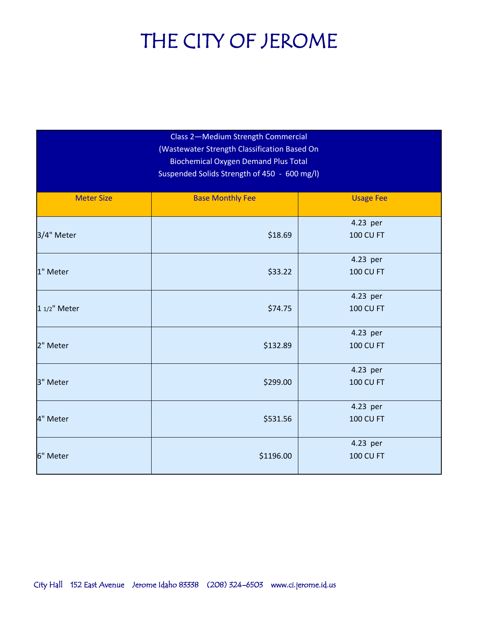| Class 2-Medium Strength Commercial<br>(Wastewater Strength Classification Based On<br><b>Biochemical Oxygen Demand Plus Total</b><br>Suspended Solids Strength of 450 - 600 mg/l) |                         |                              |
|-----------------------------------------------------------------------------------------------------------------------------------------------------------------------------------|-------------------------|------------------------------|
| <b>Meter Size</b>                                                                                                                                                                 | <b>Base Monthly Fee</b> | <b>Usage Fee</b>             |
| 3/4" Meter                                                                                                                                                                        | \$18.69                 | 4.23 per<br><b>100 CU FT</b> |
| 1" Meter                                                                                                                                                                          | \$33.22                 | 4.23 per<br><b>100 CU FT</b> |
| 1 1/2" Meter                                                                                                                                                                      | \$74.75                 | 4.23 per<br><b>100 CU FT</b> |
| 2" Meter                                                                                                                                                                          | \$132.89                | 4.23 per<br><b>100 CU FT</b> |
| 3" Meter                                                                                                                                                                          | \$299.00                | 4.23 per<br><b>100 CU FT</b> |
| 4" Meter                                                                                                                                                                          | \$531.56                | 4.23 per<br><b>100 CU FT</b> |
| 6" Meter                                                                                                                                                                          | \$1196.00               | 4.23 per<br><b>100 CU FT</b> |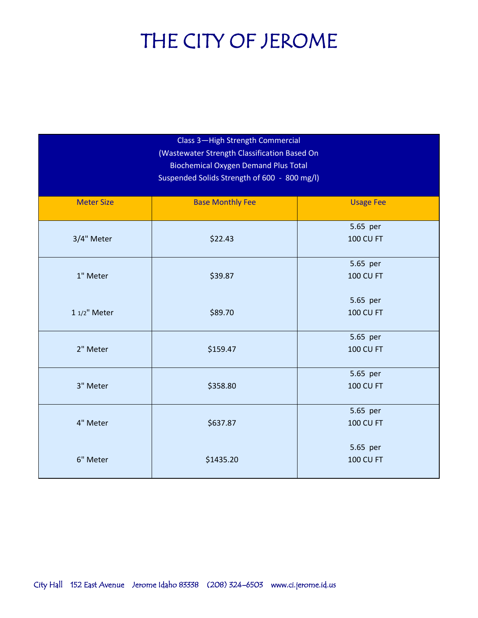| Class 3-High Strength Commercial<br>(Wastewater Strength Classification Based On<br><b>Biochemical Oxygen Demand Plus Total</b><br>Suspended Solids Strength of 600 - 800 mg/l) |                         |                              |
|---------------------------------------------------------------------------------------------------------------------------------------------------------------------------------|-------------------------|------------------------------|
| <b>Meter Size</b>                                                                                                                                                               | <b>Base Monthly Fee</b> | <b>Usage Fee</b>             |
| 3/4" Meter                                                                                                                                                                      | \$22.43                 | 5.65 per<br><b>100 CU FT</b> |
| 1" Meter                                                                                                                                                                        | \$39.87                 | 5.65 per<br><b>100 CU FT</b> |
| 1 1/2" Meter                                                                                                                                                                    | \$89.70                 | 5.65 per<br><b>100 CU FT</b> |
| 2" Meter                                                                                                                                                                        | \$159.47                | 5.65 per<br><b>100 CU FT</b> |
| 3" Meter                                                                                                                                                                        | \$358.80                | 5.65 per<br><b>100 CU FT</b> |
| 4" Meter                                                                                                                                                                        | \$637.87                | 5.65 per<br><b>100 CU FT</b> |
| 6" Meter                                                                                                                                                                        | \$1435.20               | 5.65 per<br><b>100 CU FT</b> |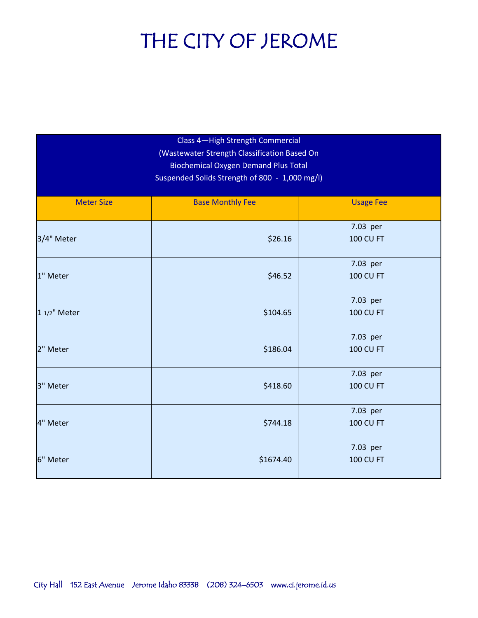| Class 4-High Strength Commercial<br>(Wastewater Strength Classification Based On<br><b>Biochemical Oxygen Demand Plus Total</b><br>Suspended Solids Strength of 800 - 1,000 mg/l) |                         |                              |
|-----------------------------------------------------------------------------------------------------------------------------------------------------------------------------------|-------------------------|------------------------------|
| <b>Meter Size</b>                                                                                                                                                                 | <b>Base Monthly Fee</b> | <b>Usage Fee</b>             |
| 3/4" Meter                                                                                                                                                                        | \$26.16                 | 7.03 per<br><b>100 CU FT</b> |
| 1" Meter                                                                                                                                                                          | \$46.52                 | 7.03 per<br><b>100 CU FT</b> |
| 1 1/2" Meter                                                                                                                                                                      | \$104.65                | 7.03 per<br><b>100 CU FT</b> |
| 2" Meter                                                                                                                                                                          | \$186.04                | 7.03 per<br><b>100 CU FT</b> |
| 3" Meter                                                                                                                                                                          | \$418.60                | 7.03 per<br><b>100 CU FT</b> |
| 4" Meter                                                                                                                                                                          | \$744.18                | 7.03 per<br><b>100 CU FT</b> |
| 6" Meter                                                                                                                                                                          | \$1674.40               | 7.03 per<br><b>100 CU FT</b> |